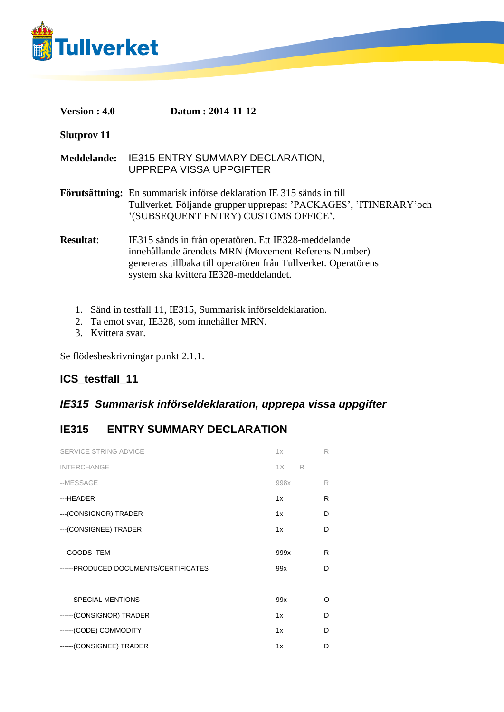

| Version : 4.0 | Datum: 2014-11-12 |
|---------------|-------------------|
|---------------|-------------------|

**Slutprov 11**

**Meddelande:** IE315 ENTRY SUMMARY DECLARATION, UPPREPA VISSA UPPGIFTER

**Förutsättning:** En summarisk införseldeklaration IE 315 sänds in till Tullverket. Följande grupper upprepas: 'PACKAGES', 'ITINERARY'och '(SUBSEQUENT ENTRY) CUSTOMS OFFICE'.

**Resultat**: IE315 sänds in från operatören. Ett IE328-meddelande innehållande ärendets MRN (Movement Referens Number) genereras tillbaka till operatören från Tullverket. Operatörens system ska kvittera IE328-meddelandet.

- 1. Sänd in testfall 11, IE315, Summarisk införseldeklaration.
- 2. Ta emot svar, IE328, som innehåller MRN.
- 3. Kvittera svar.

Se flödesbeskrivningar punkt 2.1.1.

## **ICS\_testfall\_11**

## *IE315 Summarisk införseldeklaration, upprepa vissa uppgifter*

## **IE315 ENTRY SUMMARY DECLARATION**

| SERVICE STRING ADVICE                 | 1x      | R |  |
|---------------------------------------|---------|---|--|
| <b>INTERCHANGE</b>                    | 1X<br>R |   |  |
| --MESSAGE                             | 998x    | R |  |
| ---HEADER                             | 1x      | R |  |
| --- (CONSIGNOR) TRADER                | 1x      | D |  |
| --- (CONSIGNEE) TRADER                | 1x      | D |  |
|                                       |         |   |  |
| ---GOODS ITEM                         | 999x    | R |  |
| ------PRODUCED DOCUMENTS/CERTIFICATES | 99x     | D |  |
|                                       |         |   |  |
| ------SPECIAL MENTIONS                | 99x     | O |  |
| ------(CONSIGNOR) TRADER              | 1x      | D |  |
| ------(CODE) COMMODITY                | 1x      | D |  |
| ------(CONSIGNEE) TRADER              | 1x      | D |  |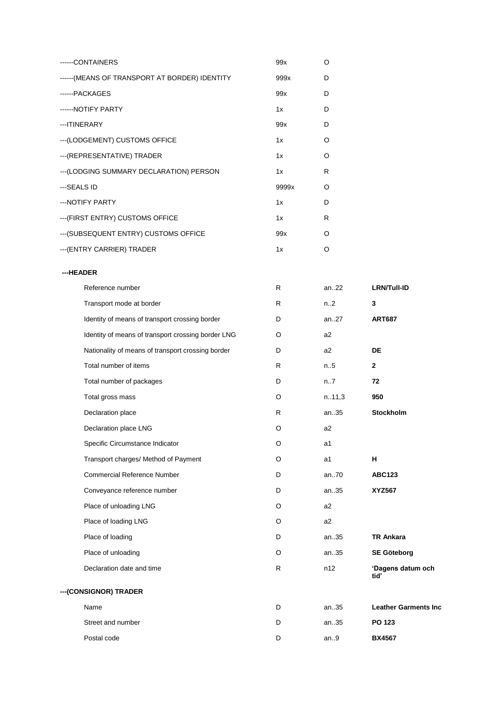| -----CONTAINERS                                | 99x   | Ω |
|------------------------------------------------|-------|---|
| ------ (MEANS OF TRANSPORT AT BORDER) IDENTITY | 999x  | D |
| ------PACKAGES                                 | 99x   | D |
| ------ NOTIFY PARTY                            | 1x    | D |
| --- ITINERARY                                  | 99x   | D |
| --- (LODGEMENT) CUSTOMS OFFICE                 | 1x    | O |
| --- (REPRESENTATIVE) TRADER                    | 1x    | Ω |
| --- (LODGING SUMMARY DECLARATION) PERSON       | 1x    | R |
| ---SEALS ID                                    | 9999x | Ω |
| --- NOTIFY PARTY                               | 1x    | D |
| --- (FIRST ENTRY) CUSTOMS OFFICE               | 1x    | R |
| --- (SUBSEQUENT ENTRY) CUSTOMS OFFICE          | 99x   | Ω |
| ---(ENTRY CARRIER) TRADER                      | 1x    | റ |

## **---HEADER**

| Reference number                                   | R | an22           | <b>LRN/Tull-ID</b>          |
|----------------------------------------------------|---|----------------|-----------------------------|
| Transport mode at border                           | R | n.2            | 3                           |
| Identity of means of transport crossing border     | D | an.27          | <b>ART687</b>               |
| Identity of means of transport crossing border LNG | O | a2             |                             |
| Nationality of means of transport crossing border  | D | a2             | DE                          |
| Total number of items                              | R | n.5            | $\mathbf{2}$                |
| Total number of packages                           | D | n7             | 72                          |
| Total gross mass                                   | O | n.11,3         | 950                         |
| Declaration place                                  | R | an35           | Stockholm                   |
| Declaration place LNG                              | O | a2             |                             |
| Specific Circumstance Indicator                    | O | a1             |                             |
| Transport charges/ Method of Payment               | O | a1             | н                           |
| <b>Commercial Reference Number</b>                 | D | an70           | <b>ABC123</b>               |
| Conveyance reference number                        | D | an35           | <b>XYZ567</b>               |
| Place of unloading LNG                             | O | a <sub>2</sub> |                             |
| Place of loading LNG                               | O | a2             |                             |
| Place of loading                                   | D | an35           | <b>TR Ankara</b>            |
| Place of unloading                                 | O | an35           | <b>SE Göteborg</b>          |
| Declaration date and time                          | R | n12            | 'Dagens datum och<br>tid'   |
| --- (CONSIGNOR) TRADER                             |   |                |                             |
| Name                                               | D | an35           | <b>Leather Garments Inc</b> |
| Street and number                                  | D | an35           | PO 123                      |
| Postal code                                        | D | an.9           | <b>BX4567</b>               |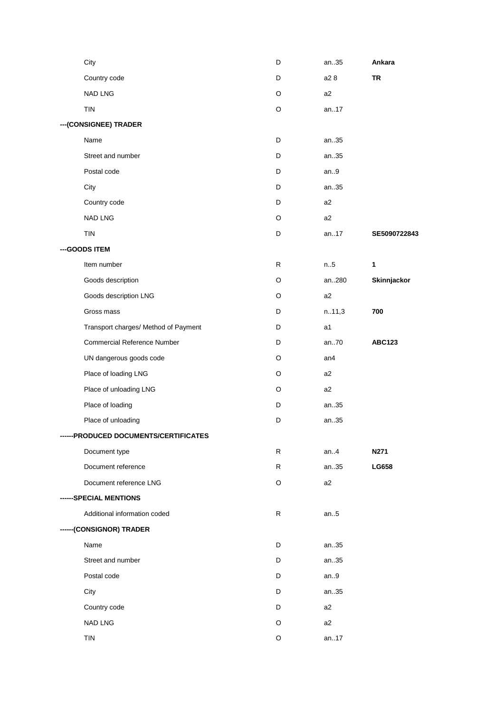| City                                  | D | an35   | Ankara        |
|---------------------------------------|---|--------|---------------|
| Country code                          | D | a2 8   | <b>TR</b>     |
| NAD LNG                               | O | a2     |               |
| <b>TIN</b>                            | O | an17   |               |
| --- (CONSIGNEE) TRADER                |   |        |               |
| Name                                  | D | an35   |               |
| Street and number                     | D | an35   |               |
| Postal code                           | D | an.9   |               |
| City                                  | D | an35   |               |
| Country code                          | D | a2     |               |
| NAD LNG                               | O | a2     |               |
| <b>TIN</b>                            | D | an17   | SE5090722843  |
| --- GOODS ITEM                        |   |        |               |
| Item number                           | R | n.5    | $\mathbf{1}$  |
| Goods description                     | O | an280  | Skinnjackor   |
| Goods description LNG                 | O | a2     |               |
| Gross mass                            | D | n.11,3 | 700           |
| Transport charges/ Method of Payment  | D | a1     |               |
| <b>Commercial Reference Number</b>    | D | an70   | <b>ABC123</b> |
| UN dangerous goods code               | O | an4    |               |
| Place of loading LNG                  | O | a2     |               |
| Place of unloading LNG                | O | a2     |               |
| Place of loading                      | D | an35   |               |
| Place of unloading                    | D | an35   |               |
| ------PRODUCED DOCUMENTS/CERTIFICATES |   |        |               |
| Document type                         | R | an. 4  | N271          |
| Document reference                    | R | an35   | LG658         |
| Document reference LNG                | O | a2     |               |
| ------SPECIAL MENTIONS                |   |        |               |
| Additional information coded          | R | an.5   |               |
| ------(CONSIGNOR) TRADER              |   |        |               |
| Name                                  | D | an35   |               |
| Street and number                     | D | an35   |               |
| Postal code                           | D | an.9   |               |
| City                                  | D | an35   |               |
| Country code                          | D | a2     |               |
| NAD LNG                               | O | a2     |               |
| TIN                                   | O | an17   |               |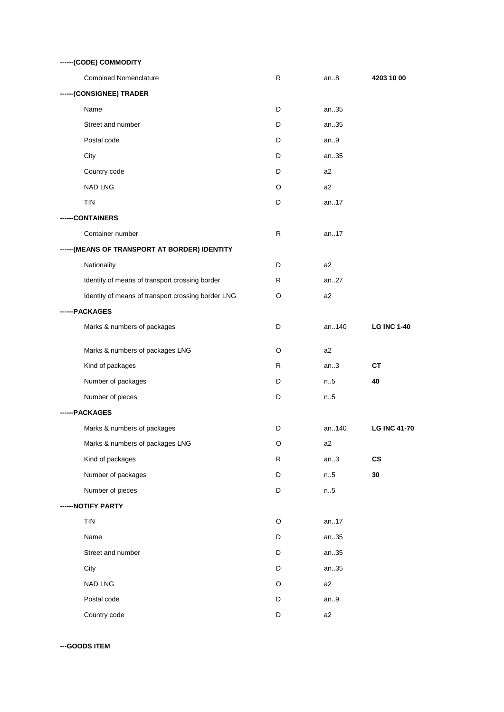| ------(CODE) COMMODITY                             |    |       |                     |
|----------------------------------------------------|----|-------|---------------------|
| <b>Combined Nomenclature</b>                       | R  | an.8  | 4203 10 00          |
| ------(CONSIGNEE) TRADER                           |    |       |                     |
| Name                                               | D  | an35  |                     |
| Street and number                                  | D  | an35  |                     |
| Postal code                                        | D  | an.9  |                     |
| City                                               | D  | an35  |                     |
| Country code                                       | D  | a2    |                     |
| <b>NAD LNG</b>                                     | O  | a2    |                     |
| <b>TIN</b>                                         | D  | an17  |                     |
| --CONTAINERS                                       |    |       |                     |
| Container number                                   | R. | an17  |                     |
| ------(MEANS OF TRANSPORT AT BORDER) IDENTITY      |    |       |                     |
| Nationality                                        | D  | a2    |                     |
| Identity of means of transport crossing border     | R  | an27  |                     |
| Identity of means of transport crossing border LNG | O  | a2    |                     |
| ------PACKAGES                                     |    |       |                     |
| Marks & numbers of packages                        | D  | an140 | <b>LG INC 1-40</b>  |
| Marks & numbers of packages LNG                    | O  | a2    |                     |
| Kind of packages                                   | R  | an.3  | <b>CT</b>           |
| Number of packages                                 | D  | n.5   | 40                  |
| Number of pieces                                   | D  | n.5   |                     |
| ------PACKAGES                                     |    |       |                     |
| Marks & numbers of packages                        | D  | an140 | <b>LG INC 41-70</b> |
| Marks & numbers of packages LNG                    | O  | a2    |                     |
| Kind of packages                                   | R  | an.3  | $\mathsf{cs}$       |
| Number of packages                                 | D  | n.5   | 30                  |
| Number of pieces                                   | D  | n.5   |                     |
| ------NOTIFY PARTY                                 |    |       |                     |
| TIN                                                | O  | an17  |                     |
| Name                                               | D  | an35  |                     |
| Street and number                                  | D  | an35  |                     |
| City                                               | D  | an35  |                     |
| NAD LNG                                            | O  | a2    |                     |
| Postal code                                        | D  | an.9  |                     |
| Country code                                       | D  | a2    |                     |

**---GOODS ITEM**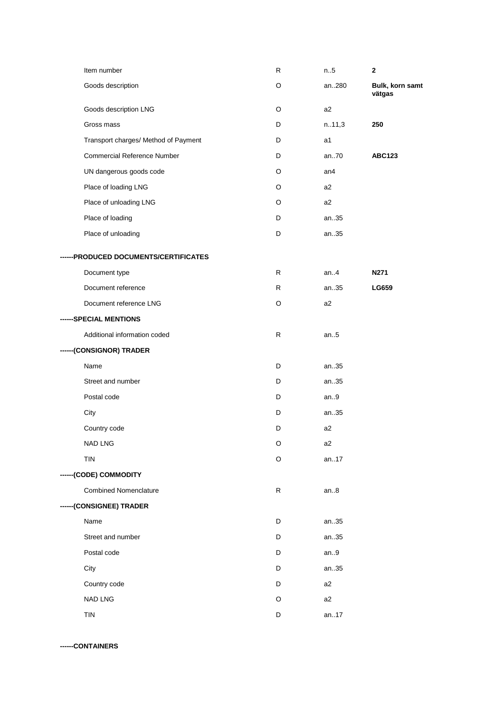| Goods description<br>an280<br>O<br>vätgas<br>Goods description LNG<br>O<br>a2<br>Gross mass<br>D<br>n.11,3<br>250<br>Transport charges/ Method of Payment<br>D<br>a1<br><b>Commercial Reference Number</b><br>an.70<br>D<br><b>ABC123</b><br>UN dangerous goods code<br>O<br>an4<br>Place of loading LNG<br>O<br>a2<br>Place of unloading LNG<br>O<br>a2<br>Place of loading<br>D<br>an35<br>Place of unloading<br>D<br>an35<br>------PRODUCED DOCUMENTS/CERTIFICATES<br>Document type<br>R<br>an.4<br>N271<br>Document reference<br>R<br>an35<br>LG659<br>Document reference LNG<br>O<br>a2<br>------SPECIAL MENTIONS<br>Additional information coded<br>R<br>an.5<br>------(CONSIGNOR) TRADER<br>Name<br>D<br>an35<br>Street and number<br>D<br>an35<br>Postal code<br>D<br>an.9<br>City<br>D<br>an35<br>Country code<br>D<br>a2<br>NAD LNG<br>O<br>a2<br><b>TIN</b><br>O<br>an17<br>------(CODE) COMMODITY<br><b>Combined Nomenclature</b><br>R<br>an.8<br>------(CONSIGNEE) TRADER<br>Name<br>an35<br>D<br>Street and number<br>D<br>an35<br>Postal code<br>D<br>an.9<br>City<br>D<br>an35<br>Country code<br>D<br>a <sub>2</sub><br>NAD LNG<br>O<br>a2<br>TIN<br>an17<br>D | Item number | $\mathsf R$ | n.5 | $\mathbf{2}$    |
|---------------------------------------------------------------------------------------------------------------------------------------------------------------------------------------------------------------------------------------------------------------------------------------------------------------------------------------------------------------------------------------------------------------------------------------------------------------------------------------------------------------------------------------------------------------------------------------------------------------------------------------------------------------------------------------------------------------------------------------------------------------------------------------------------------------------------------------------------------------------------------------------------------------------------------------------------------------------------------------------------------------------------------------------------------------------------------------------------------------------------------------------------------------------------------|-------------|-------------|-----|-----------------|
|                                                                                                                                                                                                                                                                                                                                                                                                                                                                                                                                                                                                                                                                                                                                                                                                                                                                                                                                                                                                                                                                                                                                                                                 |             |             |     | Bulk, korn samt |
|                                                                                                                                                                                                                                                                                                                                                                                                                                                                                                                                                                                                                                                                                                                                                                                                                                                                                                                                                                                                                                                                                                                                                                                 |             |             |     |                 |
|                                                                                                                                                                                                                                                                                                                                                                                                                                                                                                                                                                                                                                                                                                                                                                                                                                                                                                                                                                                                                                                                                                                                                                                 |             |             |     |                 |
|                                                                                                                                                                                                                                                                                                                                                                                                                                                                                                                                                                                                                                                                                                                                                                                                                                                                                                                                                                                                                                                                                                                                                                                 |             |             |     |                 |
|                                                                                                                                                                                                                                                                                                                                                                                                                                                                                                                                                                                                                                                                                                                                                                                                                                                                                                                                                                                                                                                                                                                                                                                 |             |             |     |                 |
|                                                                                                                                                                                                                                                                                                                                                                                                                                                                                                                                                                                                                                                                                                                                                                                                                                                                                                                                                                                                                                                                                                                                                                                 |             |             |     |                 |
|                                                                                                                                                                                                                                                                                                                                                                                                                                                                                                                                                                                                                                                                                                                                                                                                                                                                                                                                                                                                                                                                                                                                                                                 |             |             |     |                 |
|                                                                                                                                                                                                                                                                                                                                                                                                                                                                                                                                                                                                                                                                                                                                                                                                                                                                                                                                                                                                                                                                                                                                                                                 |             |             |     |                 |
|                                                                                                                                                                                                                                                                                                                                                                                                                                                                                                                                                                                                                                                                                                                                                                                                                                                                                                                                                                                                                                                                                                                                                                                 |             |             |     |                 |
|                                                                                                                                                                                                                                                                                                                                                                                                                                                                                                                                                                                                                                                                                                                                                                                                                                                                                                                                                                                                                                                                                                                                                                                 |             |             |     |                 |
|                                                                                                                                                                                                                                                                                                                                                                                                                                                                                                                                                                                                                                                                                                                                                                                                                                                                                                                                                                                                                                                                                                                                                                                 |             |             |     |                 |
|                                                                                                                                                                                                                                                                                                                                                                                                                                                                                                                                                                                                                                                                                                                                                                                                                                                                                                                                                                                                                                                                                                                                                                                 |             |             |     |                 |
|                                                                                                                                                                                                                                                                                                                                                                                                                                                                                                                                                                                                                                                                                                                                                                                                                                                                                                                                                                                                                                                                                                                                                                                 |             |             |     |                 |
|                                                                                                                                                                                                                                                                                                                                                                                                                                                                                                                                                                                                                                                                                                                                                                                                                                                                                                                                                                                                                                                                                                                                                                                 |             |             |     |                 |
|                                                                                                                                                                                                                                                                                                                                                                                                                                                                                                                                                                                                                                                                                                                                                                                                                                                                                                                                                                                                                                                                                                                                                                                 |             |             |     |                 |
|                                                                                                                                                                                                                                                                                                                                                                                                                                                                                                                                                                                                                                                                                                                                                                                                                                                                                                                                                                                                                                                                                                                                                                                 |             |             |     |                 |
|                                                                                                                                                                                                                                                                                                                                                                                                                                                                                                                                                                                                                                                                                                                                                                                                                                                                                                                                                                                                                                                                                                                                                                                 |             |             |     |                 |
|                                                                                                                                                                                                                                                                                                                                                                                                                                                                                                                                                                                                                                                                                                                                                                                                                                                                                                                                                                                                                                                                                                                                                                                 |             |             |     |                 |
|                                                                                                                                                                                                                                                                                                                                                                                                                                                                                                                                                                                                                                                                                                                                                                                                                                                                                                                                                                                                                                                                                                                                                                                 |             |             |     |                 |
|                                                                                                                                                                                                                                                                                                                                                                                                                                                                                                                                                                                                                                                                                                                                                                                                                                                                                                                                                                                                                                                                                                                                                                                 |             |             |     |                 |
|                                                                                                                                                                                                                                                                                                                                                                                                                                                                                                                                                                                                                                                                                                                                                                                                                                                                                                                                                                                                                                                                                                                                                                                 |             |             |     |                 |
|                                                                                                                                                                                                                                                                                                                                                                                                                                                                                                                                                                                                                                                                                                                                                                                                                                                                                                                                                                                                                                                                                                                                                                                 |             |             |     |                 |
|                                                                                                                                                                                                                                                                                                                                                                                                                                                                                                                                                                                                                                                                                                                                                                                                                                                                                                                                                                                                                                                                                                                                                                                 |             |             |     |                 |
|                                                                                                                                                                                                                                                                                                                                                                                                                                                                                                                                                                                                                                                                                                                                                                                                                                                                                                                                                                                                                                                                                                                                                                                 |             |             |     |                 |
|                                                                                                                                                                                                                                                                                                                                                                                                                                                                                                                                                                                                                                                                                                                                                                                                                                                                                                                                                                                                                                                                                                                                                                                 |             |             |     |                 |
|                                                                                                                                                                                                                                                                                                                                                                                                                                                                                                                                                                                                                                                                                                                                                                                                                                                                                                                                                                                                                                                                                                                                                                                 |             |             |     |                 |
|                                                                                                                                                                                                                                                                                                                                                                                                                                                                                                                                                                                                                                                                                                                                                                                                                                                                                                                                                                                                                                                                                                                                                                                 |             |             |     |                 |
|                                                                                                                                                                                                                                                                                                                                                                                                                                                                                                                                                                                                                                                                                                                                                                                                                                                                                                                                                                                                                                                                                                                                                                                 |             |             |     |                 |
|                                                                                                                                                                                                                                                                                                                                                                                                                                                                                                                                                                                                                                                                                                                                                                                                                                                                                                                                                                                                                                                                                                                                                                                 |             |             |     |                 |
|                                                                                                                                                                                                                                                                                                                                                                                                                                                                                                                                                                                                                                                                                                                                                                                                                                                                                                                                                                                                                                                                                                                                                                                 |             |             |     |                 |
|                                                                                                                                                                                                                                                                                                                                                                                                                                                                                                                                                                                                                                                                                                                                                                                                                                                                                                                                                                                                                                                                                                                                                                                 |             |             |     |                 |
|                                                                                                                                                                                                                                                                                                                                                                                                                                                                                                                                                                                                                                                                                                                                                                                                                                                                                                                                                                                                                                                                                                                                                                                 |             |             |     |                 |
|                                                                                                                                                                                                                                                                                                                                                                                                                                                                                                                                                                                                                                                                                                                                                                                                                                                                                                                                                                                                                                                                                                                                                                                 |             |             |     |                 |
|                                                                                                                                                                                                                                                                                                                                                                                                                                                                                                                                                                                                                                                                                                                                                                                                                                                                                                                                                                                                                                                                                                                                                                                 |             |             |     |                 |

**------CONTAINERS**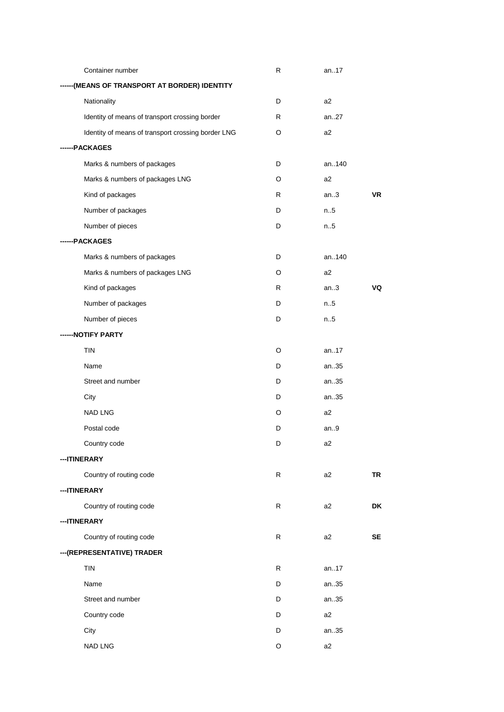| Container number                                   | R  | an17           |           |
|----------------------------------------------------|----|----------------|-----------|
| -(MEANS OF TRANSPORT AT BORDER) IDENTITY           |    |                |           |
| Nationality                                        | D  | a2             |           |
| Identity of means of transport crossing border     | R  | an.27          |           |
| Identity of means of transport crossing border LNG | O  | a2             |           |
| ----PACKAGES                                       |    |                |           |
| Marks & numbers of packages                        | D  | an140          |           |
| Marks & numbers of packages LNG                    | O  | a2             |           |
| Kind of packages                                   | R. | an.3           | <b>VR</b> |
| Number of packages                                 | D  | n5             |           |
| Number of pieces                                   | D  | n.5            |           |
| ------PACKAGES                                     |    |                |           |
| Marks & numbers of packages                        | D  | an140          |           |
| Marks & numbers of packages LNG                    | O  | a2             |           |
| Kind of packages                                   | R  | an.3           | VQ        |
| Number of packages                                 | D  | n5             |           |
| Number of pieces                                   | D  | n.5            |           |
| -NOTIFY PARTY                                      |    |                |           |
| <b>TIN</b>                                         | O  | an17           |           |
| Name                                               | D  | an35           |           |
| Street and number                                  | D  | an35           |           |
| City                                               | D  | an35           |           |
| NAD LNG                                            | O  | a2             |           |
| Postal code                                        | D  | an.9           |           |
| Country code                                       | D  | a2             |           |
| ---ITINERARY                                       |    |                |           |
| Country of routing code                            | R  | a <sub>2</sub> | <b>TR</b> |
| --- ITINERARY                                      |    |                |           |
| Country of routing code                            | R  | a2             | DK        |
| ---ITINERARY                                       |    |                |           |
| Country of routing code                            | R  | a <sub>2</sub> | SE        |
| --- (REPRESENTATIVE) TRADER                        |    |                |           |
| TIN                                                | R  | an17           |           |
| Name                                               | D  | an35           |           |
| Street and number                                  | D  | an35           |           |
| Country code                                       | D  | a2             |           |
| City                                               | D  | an35           |           |
| NAD LNG                                            | O  | a2             |           |